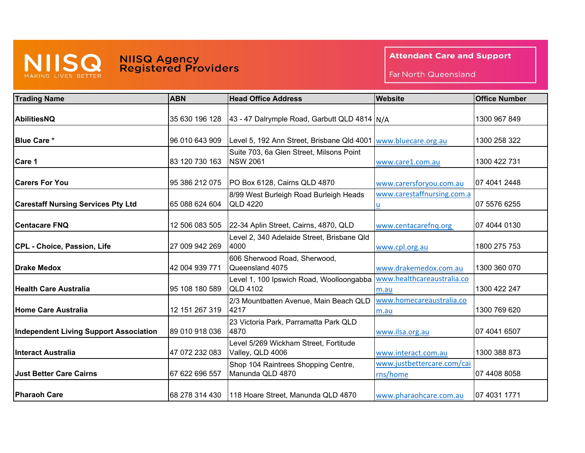## MAKING LIVES BETTER

## **NIISQ Agency<br>Registered Providers**

**Attendant Care and Support** 

Far North Queensland

| <b>Trading Name</b>                           | <b>ABN</b>     | <b>Head Office Address</b>                                  | <b>Website</b>                         | <b>Office Number</b> |
|-----------------------------------------------|----------------|-------------------------------------------------------------|----------------------------------------|----------------------|
| AbilitiesNQ                                   | 35 630 196 128 | 43 - 47 Dalrymple Road, Garbutt QLD 4814 N/A                |                                        | 1300 967 849         |
| <b>Blue Care *</b>                            | 96 010 643 909 | Level 5, 192 Ann Street, Brisbane Qld 4001                  | www.bluecare.org.au                    | 1300 258 322         |
| Care 1                                        | 83 120 730 163 | Suite 703, 6a Glen Street, Milsons Point<br><b>NSW 2061</b> | www.care1.com.au                       | 1300 422 731         |
| <b>Carers For You</b>                         | 95 386 212 075 | PO Box 6128, Cairns QLD 4870                                | www.carersforyou.com.au                | 07 4041 2448         |
| <b>Carestaff Nursing Services Pty Ltd</b>     | 65 088 624 604 | 8/99 West Burleigh Road Burleigh Heads<br><b>QLD 4220</b>   | www.carestaffnursing.com.a             | 07 5576 6255         |
| <b>Centacare FNQ</b>                          | 12 506 083 505 | 22-34 Aplin Street, Cairns, 4870, QLD                       | www.centacarefnq.org                   | 07 4044 0130         |
| CPL - Choice, Passion, Life                   | 27 009 942 269 | Level 2, 340 Adelaide Street, Brisbane Qld<br>4000          | www.cpl.org.au                         | 1800 275 753         |
| <b>Drake Medox</b>                            | 42 004 939 771 | 606 Sherwood Road, Sherwood,<br>Queensland 4075             | www.drakemedox.com.au                  | 1300 360 070         |
| <b>Health Care Australia</b>                  | 95 108 180 589 | Level 1, 100 Ipswich Road, Woolloongabba<br><b>QLD 4102</b> | www.healthcareaustralia.co<br>m.au     | 1300 422 247         |
| <b>Home Care Australia</b>                    | 12 151 267 319 | 2/3 Mountbatten Avenue, Main Beach QLD<br>4217              | www.homecareaustralia.co<br>m.au       | 1300 769 620         |
| <b>Independent Living Support Association</b> | 89 010 918 036 | 23 Victoria Park, Parramatta Park QLD<br>4870               | www.ilsa.org.au                        | 07 4041 6507         |
| <b>Interact Australia</b>                     | 47 072 232 083 | Level 5/269 Wickham Street, Fortitude<br>Valley, QLD 4006   | www.interact.com.au                    | 1300 388 873         |
| <b>Just Better Care Cairns</b>                | 67 622 696 557 | Shop 104 Raintrees Shopping Centre,<br>Manunda QLD 4870     | www.justbettercare.com/cai<br>rns/home | 07 4408 8058         |
| <b>Pharaoh Care</b>                           | 68 278 314 430 | 118 Hoare Street, Manunda QLD 4870                          | www.pharaohcare.com.au                 | 07 4031 1771         |